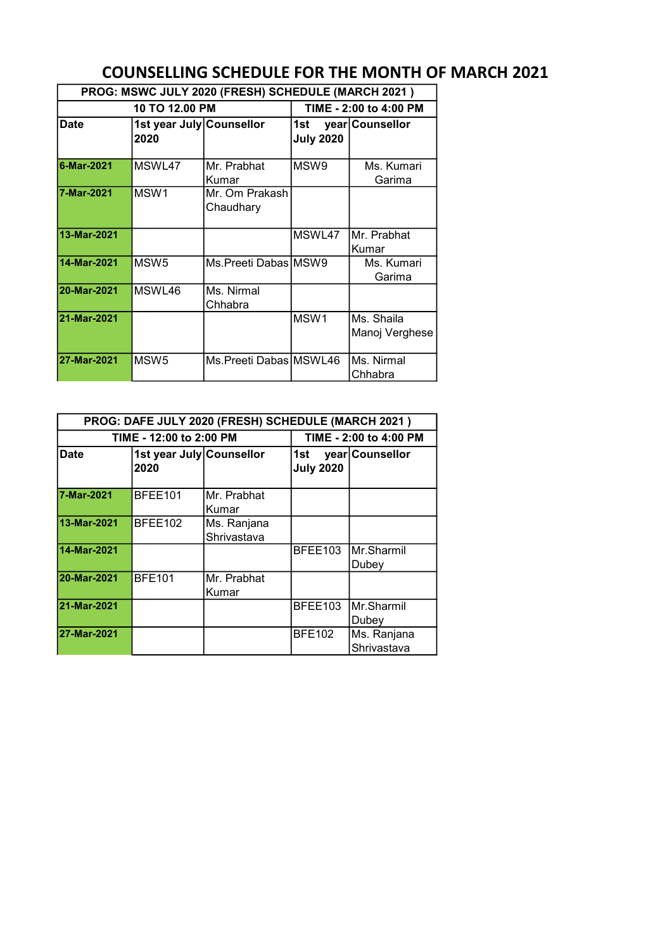## COUNSELLING SCHEDULE FOR THE MONTH OF MARCH 2021 PROG: MSWC JULY 2020 (FRESH) SCHEDULE (MARCH 2021 )

|             | PROG: MSWC JULY 2020 (FRESH) SCHEDULE (MARCH 2021) |                             |                         |                              |  |  |  |  |
|-------------|----------------------------------------------------|-----------------------------|-------------------------|------------------------------|--|--|--|--|
|             | 10 TO 12.00 PM                                     |                             |                         | TIME - 2:00 to 4:00 PM       |  |  |  |  |
| <b>Date</b> | 1st year July Counsellor<br>2020                   |                             | 1st<br><b>July 2020</b> | year Counsellor              |  |  |  |  |
| 6-Mar-2021  | MSWL47                                             | Mr. Prabhat<br>Kumar        | MSW9                    | Ms. Kumari<br>Garima         |  |  |  |  |
| 7-Mar-2021  | MSW <sub>1</sub>                                   | Mr. Om Prakash<br>Chaudhary |                         |                              |  |  |  |  |
| 13-Mar-2021 |                                                    |                             | MSWL47                  | IMr. Prabhat<br>Kumar        |  |  |  |  |
| 14-Mar-2021 | MSW <sub>5</sub>                                   | Ms.Preeti Dabas MSW9        |                         | Ms. Kumari<br>Garima         |  |  |  |  |
| 20-Mar-2021 | MSWL46                                             | Ms. Nirmal<br>Chhabra       |                         |                              |  |  |  |  |
| 21-Mar-2021 |                                                    |                             | MSW <sub>1</sub>        | Ms. Shaila<br>Manoj Verghese |  |  |  |  |
| 27-Mar-2021 | MSW <sub>5</sub>                                   | Ms.Preeti Dabas MSWL46      |                         | Ms. Nirmal<br>Chhabra        |  |  |  |  |

| PROG: DAFE JULY 2020 (FRESH) SCHEDULE (MARCH 2021) |                                  |                            |                         |                             |  |  |  |
|----------------------------------------------------|----------------------------------|----------------------------|-------------------------|-----------------------------|--|--|--|
|                                                    | TIME - 12:00 to 2:00 PM          |                            |                         | TIME - 2:00 to 4:00 PM      |  |  |  |
| <b>Date</b>                                        | 1st year July Counsellor<br>2020 |                            | 1st<br><b>July 2020</b> | year Counsellor             |  |  |  |
| 7-Mar-2021                                         | BFEE101                          | Mr. Prabhat<br>Kumar       |                         |                             |  |  |  |
| 13-Mar-2021                                        | BFEE102                          | Ms. Ranjana<br>Shrivastava |                         |                             |  |  |  |
| 14-Mar-2021                                        |                                  |                            | BFEE103                 | IMr.Sharmil<br>Dubey        |  |  |  |
| 20-Mar-2021                                        | <b>BFE101</b>                    | Mr. Prabhat<br>Kumar       |                         |                             |  |  |  |
| 21-Mar-2021                                        |                                  |                            | BFEE103                 | <b>IMr.Sharmil</b><br>Dubey |  |  |  |
| 27-Mar-2021                                        |                                  |                            | <b>BFE102</b>           | Ms. Ranjana<br>Shrivastava  |  |  |  |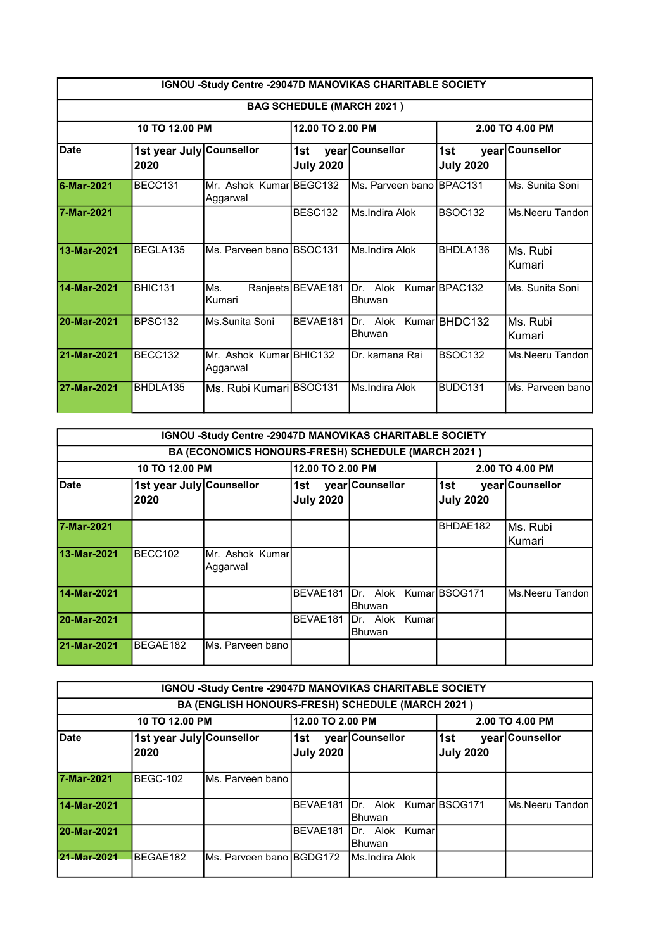|             | IGNOU -Study Centre -29047D MANOVIKAS CHARITABLE SOCIETY |                                     |                                  |                              |                         |                    |  |  |
|-------------|----------------------------------------------------------|-------------------------------------|----------------------------------|------------------------------|-------------------------|--------------------|--|--|
|             |                                                          |                                     | <b>BAG SCHEDULE (MARCH 2021)</b> |                              |                         |                    |  |  |
|             | 10 TO 12.00 PM                                           |                                     | 12.00 TO 2.00 PM                 |                              |                         | 2.00 TO 4.00 PM    |  |  |
| <b>Date</b> | 1st year July Counsellor<br>2020                         |                                     | 1st<br><b>July 2020</b>          | year Counsellor              | 1st<br><b>July 2020</b> | year Counsellor    |  |  |
| 6-Mar-2021  | BECC131                                                  | Mr. Ashok KumarIBEGC132<br>Aggarwal |                                  | IMs. Parveen bano IBPAC131   |                         | Ms. Sunita Soni    |  |  |
| 7-Mar-2021  |                                                          |                                     | BESC132                          | Ms.Indira Alok               | <b>BSOC132</b>          | Ms Neeru Tandon    |  |  |
| 13-Mar-2021 | BEGLA135                                                 | Ms. Parveen bano BSOC131            |                                  | Ms.Indira Alok               | BHDLA136                | Ms. Rubi<br>Kumari |  |  |
| 14-Mar-2021 | <b>BHIC131</b>                                           | Ms.<br>Kumari                       | Ranjeeta BEVAE181                | Alok<br>Dr.<br><b>Bhuwan</b> | Kumar BPAC132           | Ms. Sunita Soni    |  |  |
| 20-Mar-2021 | BPSC132                                                  | Ms.Sunita Soni                      | BEVAE181                         | Dr. Alok<br><b>Bhuwan</b>    | Kumar BHDC132           | Ms. Rubi<br>Kumari |  |  |
| 21-Mar-2021 | BECC132                                                  | Mr. Ashok Kumar BHIC132<br>Aggarwal |                                  | Dr. kamana Rai               | <b>BSOC132</b>          | Ms.Neeru Tandon    |  |  |
| 27-Mar-2021 | BHDLA135                                                 | Ms. Rubi Kumari BSOC131             |                                  | Ms.Indira Alok               | BUDC131                 | Ms. Parveen bano   |  |  |

|             | IGNOU -Study Centre -29047D MANOVIKAS CHARITABLE SOCIETY |                                                    |                         |                                         |                          |                     |  |  |
|-------------|----------------------------------------------------------|----------------------------------------------------|-------------------------|-----------------------------------------|--------------------------|---------------------|--|--|
|             |                                                          | BA (ECONOMICS HONOURS-FRESH) SCHEDULE (MARCH 2021) |                         |                                         |                          |                     |  |  |
|             | 10 TO 12.00 PM                                           |                                                    | 12.00 TO 2.00 PM        |                                         |                          | 2.00 TO 4.00 PM     |  |  |
| <b>Date</b> | 1st year July Counsellor<br>2020                         |                                                    | 1st<br><b>July 2020</b> | year Counsellor                         | l1st<br><b>July 2020</b> | year Counsellor     |  |  |
| 7-Mar-2021  |                                                          |                                                    |                         |                                         | BHDAE182                 | lMs. Rubi<br>Kumari |  |  |
| 13-Mar-2021 | BECC102                                                  | Mr. Ashok Kumarl<br>Aggarwal                       |                         |                                         |                          |                     |  |  |
| 14-Mar-2021 |                                                          |                                                    | BEVAE181                | IDr. Alok KumarIBSOG171<br>Bhuwan       |                          | lMs Neeru Tandon.   |  |  |
| 20-Mar-2021 |                                                          |                                                    | BEVAE181                | <b>IDr.</b> Alok Kumar<br><b>Bhuwan</b> |                          |                     |  |  |
| 21-Mar-2021 | BEGAE182                                                 | Ms. Parveen bano                                   |                         |                                         |                          |                     |  |  |

|             | IGNOU -Study Centre -29047D MANOVIKAS CHARITABLE SOCIETY |                          |                          |                                                  |                          |                    |  |  |
|-------------|----------------------------------------------------------|--------------------------|--------------------------|--------------------------------------------------|--------------------------|--------------------|--|--|
|             |                                                          |                          |                          | BA (ENGLISH HONOURS-FRESH) SCHEDULE (MARCH 2021) |                          |                    |  |  |
|             | 12.00 TO 2.00 PM<br>10 TO 12.00 PM<br>2.00 TO 4.00 PM    |                          |                          |                                                  |                          |                    |  |  |
| Date        | 1st year July Counsellor<br>2020                         |                          | ∣1st<br><b>July 2020</b> | year Counsellor                                  | l1st<br><b>July 2020</b> | year Counsellor    |  |  |
| 7-Mar-2021  | BEGC-102                                                 | Ms. Parveen bano         |                          |                                                  |                          |                    |  |  |
| 14-Mar-2021 |                                                          |                          | BEVAE181                 | Dr. Alok Kumar BSOG171<br><b>IBhuwan</b>         |                          | lMs.Neeru Tandon l |  |  |
| 20-Mar-2021 | BEVAE181<br>IDr. Alok Kumarl<br><b>IBhuwan</b>           |                          |                          |                                                  |                          |                    |  |  |
| 21-Mar-2021 | BFGAF182                                                 | Ms. Parveen bano BGDG172 |                          | IMs Indira Alok.                                 |                          |                    |  |  |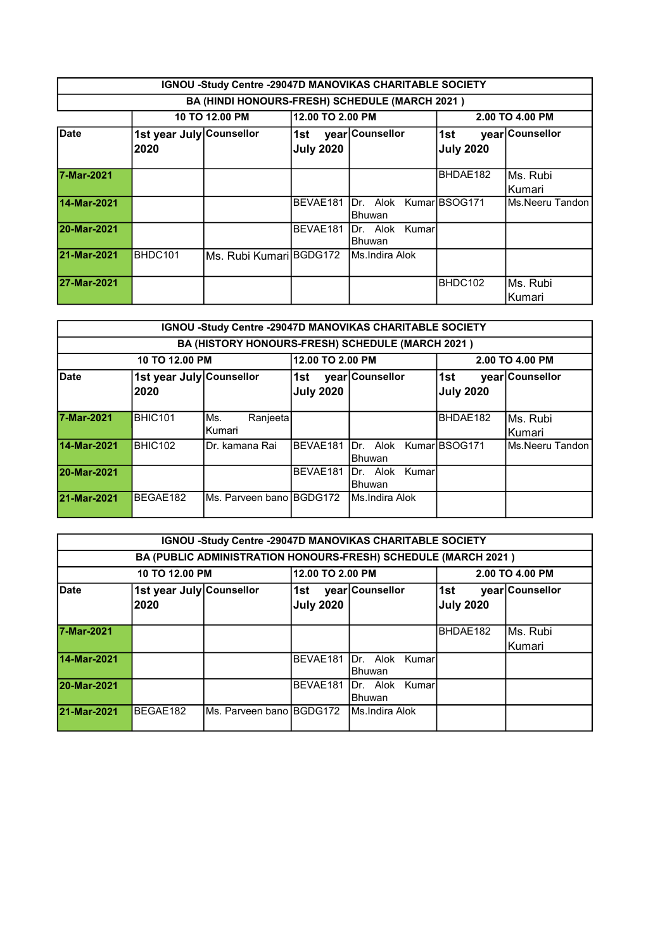|             | IGNOU -Study Centre -29047D MANOVIKAS CHARITABLE SOCIETY     |                |                  |                                                |                          |                     |  |  |
|-------------|--------------------------------------------------------------|----------------|------------------|------------------------------------------------|--------------------------|---------------------|--|--|
|             |                                                              |                |                  | BA (HINDI HONOURS-FRESH) SCHEDULE (MARCH 2021) |                          |                     |  |  |
|             |                                                              | 10 TO 12.00 PM | 12.00 TO 2.00 PM |                                                |                          | 2.00 TO 4.00 PM     |  |  |
| <b>Date</b> | 1st year July Counsellor<br>2020                             |                | <b>July 2020</b> | 1st year Counsellor                            | l1st<br><b>July 2020</b> | year Counsellor     |  |  |
| 7-Mar-2021  |                                                              |                |                  |                                                | BHDAE182                 | Ms. Rubi<br>Kumari  |  |  |
| 14-Mar-2021 |                                                              |                | BEVAE181         | IDr. Alok KumarIBSOG171<br><b>Bhuwan</b>       |                          | Ms.Neeru Tandon I   |  |  |
| 20-Mar-2021 |                                                              |                | BEVAE181         | IDr. Alok Kumarl<br><b>Bhuwan</b>              |                          |                     |  |  |
| 21-Mar-2021 | BHDC101<br>Ms. Rubi Kumari BGDG172<br><b>IMs.Indira Alok</b> |                |                  |                                                |                          |                     |  |  |
| 27-Mar-2021 |                                                              |                |                  |                                                | BHDC102                  | Ms. Rubi<br>lKumari |  |  |

|             | <b>IGNOU -Study Centre -29047D MANOVIKAS CHARITABLE SOCIETY</b> |                           |                          |                                                  |                          |                    |  |  |
|-------------|-----------------------------------------------------------------|---------------------------|--------------------------|--------------------------------------------------|--------------------------|--------------------|--|--|
|             |                                                                 |                           |                          | BA (HISTORY HONOURS-FRESH) SCHEDULE (MARCH 2021) |                          |                    |  |  |
|             | 10 TO 12.00 PM                                                  |                           | 12.00 TO 2.00 PM         |                                                  |                          | 2.00 TO 4.00 PM    |  |  |
| <b>Date</b> | 1st year July Counsellor<br>2020                                |                           | l1st<br><b>July 2020</b> | year Counsellor                                  | l1st<br><b>July 2020</b> | year Counsellor    |  |  |
| 7-Mar-2021  | BHIC101                                                         | Ranjeeta<br>Ms.<br>Kumari |                          |                                                  | BHDAE182                 | Ms. Rubi<br>Kumari |  |  |
| 14-Mar-2021 | BHIC102                                                         | Dr. kamana Rai            | BEVAE181                 | IDr. Alok KumarIBSOG171<br><b>Bhuwan</b>         |                          | Ms.Neeru Tandon    |  |  |
| 20-Mar-2021 |                                                                 |                           | BEVAE181                 | IDr. Alok Kumar<br><b>IBhuwan</b>                |                          |                    |  |  |
| 21-Mar-2021 | BEGAE182                                                        | Ms. Parveen bano BGDG172  |                          | <b>IMs.Indira Alok</b>                           |                          |                    |  |  |

|             | IGNOU -Study Centre -29047D MANOVIKAS CHARITABLE SOCIETY |                            |                                         |                                                                |                          |                    |  |  |
|-------------|----------------------------------------------------------|----------------------------|-----------------------------------------|----------------------------------------------------------------|--------------------------|--------------------|--|--|
|             |                                                          |                            |                                         | BA (PUBLIC ADMINISTRATION HONOURS-FRESH) SCHEDULE (MARCH 2021) |                          |                    |  |  |
|             | 12.00 TO 2.00 PM<br>10 TO 12.00 PM<br>2.00 TO 4.00 PM    |                            |                                         |                                                                |                          |                    |  |  |
| Date        | 1st year July Counsellor<br>2020                         |                            | ∣1st<br><b>July 2020</b>                | year Counsellor                                                | 1st <br><b>July 2020</b> | year Counsellor    |  |  |
| 7-Mar-2021  |                                                          |                            |                                         |                                                                | BHDAE182                 | Ms. Rubi<br>Kumari |  |  |
| 14-Mar-2021 |                                                          |                            | BEVAE181                                | <b>IDr.</b> Alok Kumar<br><b>IBhuwan</b>                       |                          |                    |  |  |
| 20-Mar-2021 |                                                          |                            | BEVAE181<br>IDr. Alok Kumarl<br>lBhuwan |                                                                |                          |                    |  |  |
| 21-Mar-2021 | BEGAE182                                                 | lMs. Parveen bano lBGDG172 |                                         | <b>IMs.Indira Alok</b>                                         |                          |                    |  |  |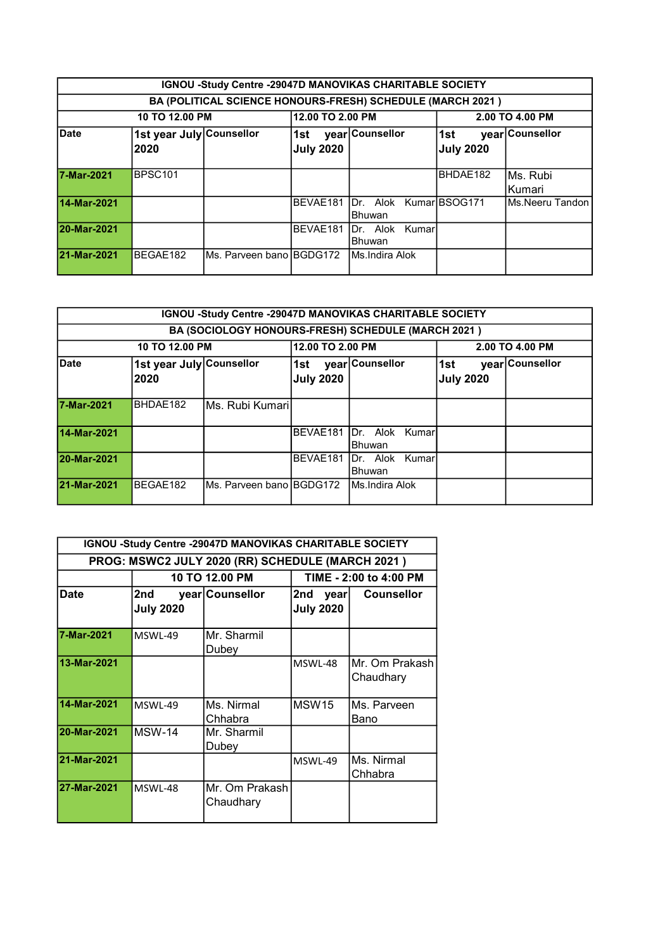|             | IGNOU -Study Centre -29047D MANOVIKAS CHARITABLE SOCIETY |                           |                                              |                                                            |                          |                      |  |  |
|-------------|----------------------------------------------------------|---------------------------|----------------------------------------------|------------------------------------------------------------|--------------------------|----------------------|--|--|
|             |                                                          |                           |                                              | BA (POLITICAL SCIENCE HONOURS-FRESH) SCHEDULE (MARCH 2021) |                          |                      |  |  |
|             | 10 TO 12.00 PM                                           |                           | 12.00 TO 2.00 PM                             |                                                            |                          | 2.00 TO 4.00 PM      |  |  |
| Date        | 1st year July Counsellor<br>2020                         |                           | ∣1st ∣<br><b>July 2020</b>                   | year Counsellor                                            | l1st<br><b>July 2020</b> | year Counsellor      |  |  |
| 7-Mar-2021  | <b>BPSC101</b>                                           |                           |                                              |                                                            | BHDAE182                 | IMs. Rubi<br>lKumari |  |  |
| 14-Mar-2021 |                                                          |                           |                                              | BEVAE181 Dr. Alok Kumar BSOG171<br>Bhuwan                  |                          | IMs.Neeru Tandon l   |  |  |
| 20-Mar-2021 |                                                          |                           | BEVAE181<br><b>IDr.</b> Alok Kumar<br>Bhuwan |                                                            |                          |                      |  |  |
| 21-Mar-2021 | BEGAE182                                                 | Ms. Parveen bano IBGDG172 |                                              | <b>IMs.Indira Alok</b>                                     |                          |                      |  |  |

|             | IGNOU -Study Centre -29047D MANOVIKAS CHARITABLE SOCIETY |                          |                            |                                                    |                         |                 |  |  |
|-------------|----------------------------------------------------------|--------------------------|----------------------------|----------------------------------------------------|-------------------------|-----------------|--|--|
|             |                                                          |                          |                            | BA (SOCIOLOGY HONOURS-FRESH) SCHEDULE (MARCH 2021) |                         |                 |  |  |
|             | 12.00 TO 2.00 PM<br>10 TO 12.00 PM<br>2.00 TO 4.00 PM    |                          |                            |                                                    |                         |                 |  |  |
| <b>Date</b> | 1st year July Counsellor<br>2020                         |                          | ∣1st ∣<br><b>July 2020</b> | year Counsellor                                    | 1st<br><b>July 2020</b> | year Counsellor |  |  |
| 7-Mar-2021  | BHDAE182                                                 | IMs. Rubi Kumaril        |                            |                                                    |                         |                 |  |  |
| 14-Mar-2021 |                                                          |                          | BEVAE181                   | Dr. Alok Kumar<br><b>IBhuwan</b>                   |                         |                 |  |  |
| 20-Mar-2021 | BEVAE181<br>Dr. Alok Kumar<br><b>IBhuwan</b>             |                          |                            |                                                    |                         |                 |  |  |
| 21-Mar-2021 | BEGAE182                                                 | Ms. Parveen bano BGDG172 |                            | <b>IMs.Indira Alok</b>                             |                         |                 |  |  |

| IGNOU -Study Centre -29047D MANOVIKAS CHARITABLE SOCIETY |                         |                             |                                 |                             |  |  |  |
|----------------------------------------------------------|-------------------------|-----------------------------|---------------------------------|-----------------------------|--|--|--|
| PROG: MSWC2 JULY 2020 (RR) SCHEDULE (MARCH 2021)         |                         |                             |                                 |                             |  |  |  |
|                                                          |                         | 10 TO 12.00 PM              |                                 | TIME - 2:00 to 4:00 PM      |  |  |  |
| <b>Date</b>                                              | 2nd<br><b>July 2020</b> | year Counsellor             | 2nd<br>year<br><b>July 2020</b> | <b>Counsellor</b>           |  |  |  |
| 7-Mar-2021                                               | MSWL-49                 | Mr. Sharmil<br>Dubey        |                                 |                             |  |  |  |
| 13-Mar-2021                                              |                         |                             | MSWL-48                         | Mr. Om Prakash<br>Chaudhary |  |  |  |
| 14-Mar-2021                                              | MSWL-49                 | Ms. Nirmal<br>Chhabra       | MSW <sub>15</sub>               | Ms. Parveen<br>Bano         |  |  |  |
| 20-Mar-2021                                              | <b>MSW-14</b>           | Mr. Sharmil<br>Dubey        |                                 |                             |  |  |  |
| 21-Mar-2021                                              |                         |                             | MSWL-49                         | Ms. Nirmal<br>Chhabra       |  |  |  |
| 27-Mar-2021                                              | MSWL-48                 | Mr. Om Prakash<br>Chaudhary |                                 |                             |  |  |  |